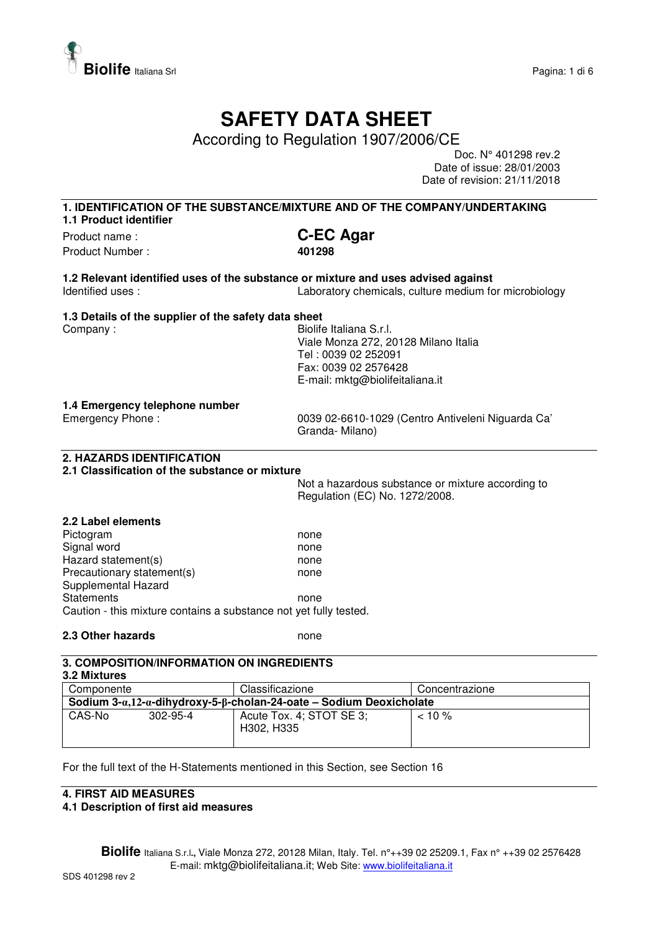

# **SAFETY DATA SHEET**

According to Regulation 1907/2006/CE

Doc. N° 401298 rev.2 Date of issue: 28/01/2003 Date of revision: 21/11/2018

# **1. IDENTIFICATION OF THE SUBSTANCE/MIXTURE AND OF THE COMPANY/UNDERTAKING 1.1 Product identifier**  Product name : **C-EC Agar**

Product Number : **401298** 

**1.2 Relevant identified uses of the substance or mixture and uses advised against**  Identified uses : Laboratory chemicals, culture medium for microbiology

# **1.3 Details of the supplier of the safety data sheet**

Company : Georgia Company : Georgia Company : Georgia Company : Georgia Company : Georgia Company : Georgia Company Street Section 1, 1999 Viale Monza 272, 20128 Milano Italia Tel : 0039 02 252091 Fax: 0039 02 2576428 E-mail: mktg@biolifeitaliana.it

# **1.4 Emergency telephone number**

Emergency Phone : 0039 02-6610-1029 (Centro Antiveleni Niguarda Ca' Granda- Milano)

# **2. HAZARDS IDENTIFICATION**

# **2.1 Classification of the substance or mixture**

Not a hazardous substance or mixture according to Regulation (EC) No. 1272/2008.

### **2.2 Label elements**  Pictogram none experience and the property of the property of the property of the property of the property of the property of the property of the property of the property of the property of the property of the property of Signal word none none Hazard statement(s) none Precautionary statement(s) example a none Supplemental Hazard Statements **none** Caution - this mixture contains a substance not yet fully tested.

**2.3 Other hazards none** 

#### **3. COMPOSITION/INFORMATION ON INGREDIENTS 3.2 Mixtures**

| <b>U.L MIALUIUJ</b>                                                                          |                |                                        |                |  |  |
|----------------------------------------------------------------------------------------------|----------------|----------------------------------------|----------------|--|--|
| Componente                                                                                   |                | Classificazione                        | Concentrazione |  |  |
| Sodium 3- $\alpha$ ,12- $\alpha$ -dihydroxy-5- $\beta$ -cholan-24-oate – Sodium Deoxicholate |                |                                        |                |  |  |
| CAS-No                                                                                       | $302 - 95 - 4$ | Acute Tox. 4; STOT SE 3;<br>H302, H335 | $10\%$         |  |  |

For the full text of the H-Statements mentioned in this Section, see Section 16

# **4. FIRST AID MEASURES**

# **4.1 Description of first aid measures**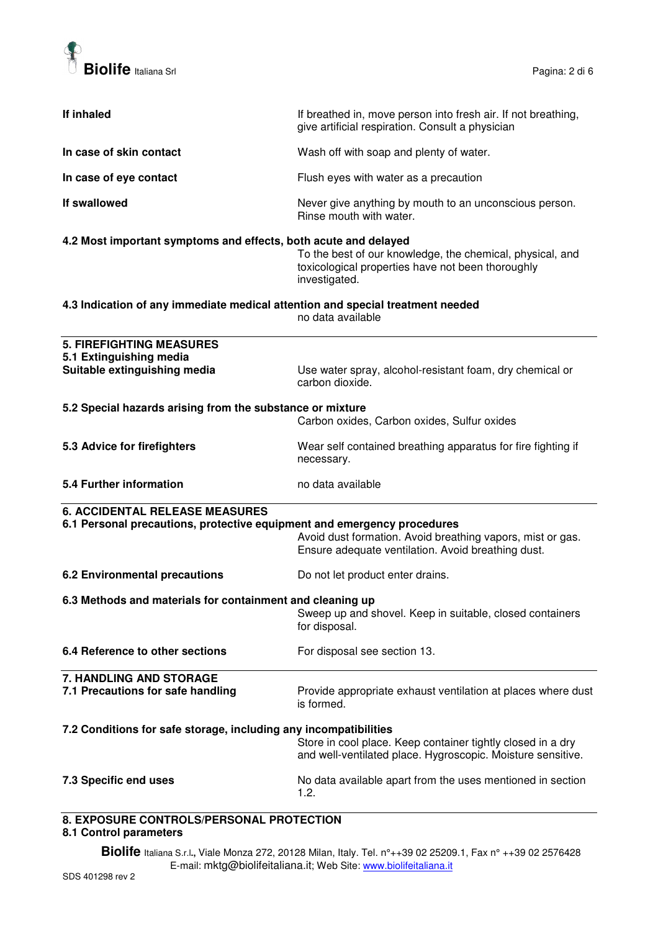

| If inhaled                                                                     | If breathed in, move person into fresh air. If not breathing,<br>give artificial respiration. Consult a physician               |  |
|--------------------------------------------------------------------------------|---------------------------------------------------------------------------------------------------------------------------------|--|
| In case of skin contact                                                        | Wash off with soap and plenty of water.                                                                                         |  |
| In case of eye contact                                                         | Flush eyes with water as a precaution                                                                                           |  |
| If swallowed                                                                   | Never give anything by mouth to an unconscious person.<br>Rinse mouth with water.                                               |  |
| 4.2 Most important symptoms and effects, both acute and delayed                | To the best of our knowledge, the chemical, physical, and<br>toxicological properties have not been thoroughly<br>investigated. |  |
| 4.3 Indication of any immediate medical attention and special treatment needed | no data available                                                                                                               |  |
| <b>5. FIREFIGHTING MEASURES</b>                                                |                                                                                                                                 |  |
| 5.1 Extinguishing media<br>Suitable extinguishing media                        | Use water spray, alcohol-resistant foam, dry chemical or<br>carbon dioxide.                                                     |  |
| 5.2 Special hazards arising from the substance or mixture                      | Carbon oxides, Carbon oxides, Sulfur oxides                                                                                     |  |
| 5.3 Advice for firefighters                                                    | Wear self contained breathing apparatus for fire fighting if<br>necessary.                                                      |  |
| 5.4 Further information                                                        | no data available                                                                                                               |  |
| <b>6. ACCIDENTAL RELEASE MEASURES</b>                                          |                                                                                                                                 |  |
| 6.1 Personal precautions, protective equipment and emergency procedures        | Avoid dust formation. Avoid breathing vapors, mist or gas.<br>Ensure adequate ventilation. Avoid breathing dust.                |  |
| 6.2 Environmental precautions                                                  | Do not let product enter drains.                                                                                                |  |
| 6.3 Methods and materials for containment and cleaning up                      | Sweep up and shovel. Keep in suitable, closed containers<br>for disposal.                                                       |  |
| 6.4 Reference to other sections                                                | For disposal see section 13.                                                                                                    |  |
| 7. HANDLING AND STORAGE                                                        |                                                                                                                                 |  |
| 7.1 Precautions for safe handling                                              | Provide appropriate exhaust ventilation at places where dust<br>is formed.                                                      |  |
| 7.2 Conditions for safe storage, including any incompatibilities               | Store in cool place. Keep container tightly closed in a dry<br>and well-ventilated place. Hygroscopic. Moisture sensitive.      |  |
| 7.3 Specific end uses                                                          | No data available apart from the uses mentioned in section<br>1.2.                                                              |  |
| <b>8 EYDOSUBE CONTROLS/DERSONAL DROTECTION</b>                                 |                                                                                                                                 |  |

### **8. EXPOSURE CONTROLS/PERSONAL PROTECTION 8.1 Control parameters**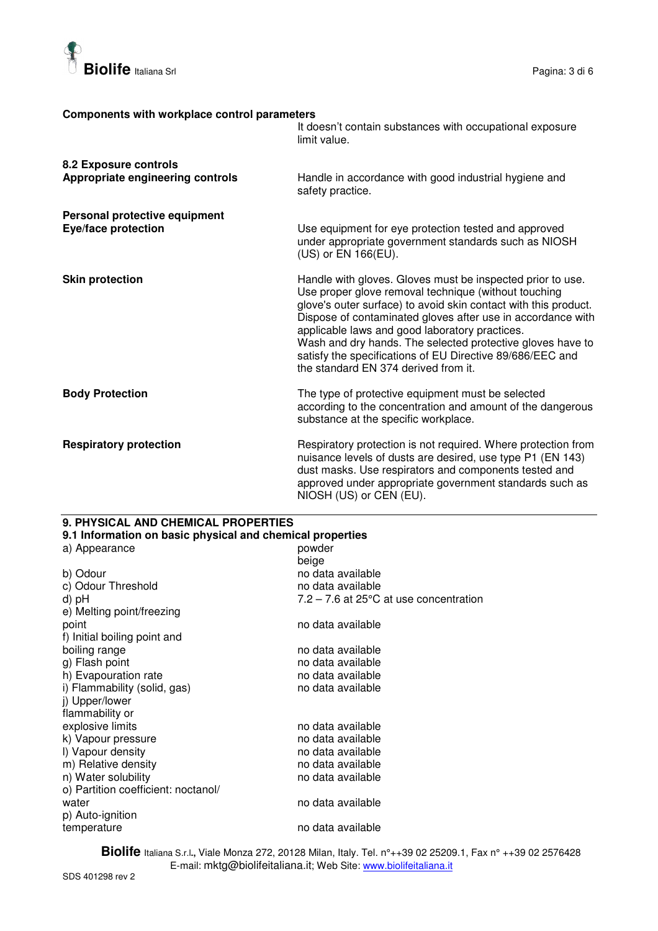

## **Components with workplace control parameters**

|                                                             | It doesn't contain substances with occupational exposure<br>limit value.                                                                                                                                                                                                                                                                                                                                                                                                  |
|-------------------------------------------------------------|---------------------------------------------------------------------------------------------------------------------------------------------------------------------------------------------------------------------------------------------------------------------------------------------------------------------------------------------------------------------------------------------------------------------------------------------------------------------------|
| 8.2 Exposure controls<br>Appropriate engineering controls   | Handle in accordance with good industrial hygiene and<br>safety practice.                                                                                                                                                                                                                                                                                                                                                                                                 |
| Personal protective equipment<br><b>Eye/face protection</b> | Use equipment for eye protection tested and approved<br>under appropriate government standards such as NIOSH<br>(US) or EN 166(EU).                                                                                                                                                                                                                                                                                                                                       |
| <b>Skin protection</b>                                      | Handle with gloves. Gloves must be inspected prior to use.<br>Use proper glove removal technique (without touching<br>glove's outer surface) to avoid skin contact with this product.<br>Dispose of contaminated gloves after use in accordance with<br>applicable laws and good laboratory practices.<br>Wash and dry hands. The selected protective gloves have to<br>satisfy the specifications of EU Directive 89/686/EEC and<br>the standard EN 374 derived from it. |
| <b>Body Protection</b>                                      | The type of protective equipment must be selected<br>according to the concentration and amount of the dangerous<br>substance at the specific workplace.                                                                                                                                                                                                                                                                                                                   |
| <b>Respiratory protection</b>                               | Respiratory protection is not required. Where protection from<br>nuisance levels of dusts are desired, use type P1 (EN 143)<br>dust masks. Use respirators and components tested and<br>approved under appropriate government standards such as<br>NIOSH (US) or CEN (EU).                                                                                                                                                                                                |

# **9. PHYSICAL AND CHEMICAL PROPERTIES**

| 9.1 Information on basic physical and chemical properties |                                                    |  |  |  |
|-----------------------------------------------------------|----------------------------------------------------|--|--|--|
| a) Appearance                                             | powder                                             |  |  |  |
|                                                           | beige                                              |  |  |  |
| b) Odour                                                  | no data available                                  |  |  |  |
| c) Odour Threshold                                        | no data available                                  |  |  |  |
| d) pH                                                     | $7.2 - 7.6$ at 25 $\degree$ C at use concentration |  |  |  |
| e) Melting point/freezing                                 |                                                    |  |  |  |
| point                                                     | no data available                                  |  |  |  |
| f) Initial boiling point and                              |                                                    |  |  |  |
| boiling range                                             | no data available                                  |  |  |  |
| g) Flash point                                            | no data available                                  |  |  |  |
| h) Evapouration rate                                      | no data available                                  |  |  |  |
| i) Flammability (solid, gas)                              | no data available                                  |  |  |  |
| j) Upper/lower                                            |                                                    |  |  |  |
| flammability or                                           |                                                    |  |  |  |
| explosive limits                                          | no data available                                  |  |  |  |
| k) Vapour pressure                                        | no data available                                  |  |  |  |
| I) Vapour density                                         | no data available                                  |  |  |  |
| m) Relative density                                       | no data available                                  |  |  |  |
| n) Water solubility                                       | no data available                                  |  |  |  |
| o) Partition coefficient: noctanol/                       |                                                    |  |  |  |
| water                                                     | no data available                                  |  |  |  |
| p) Auto-ignition                                          |                                                    |  |  |  |
| temperature                                               | no data available                                  |  |  |  |
|                                                           |                                                    |  |  |  |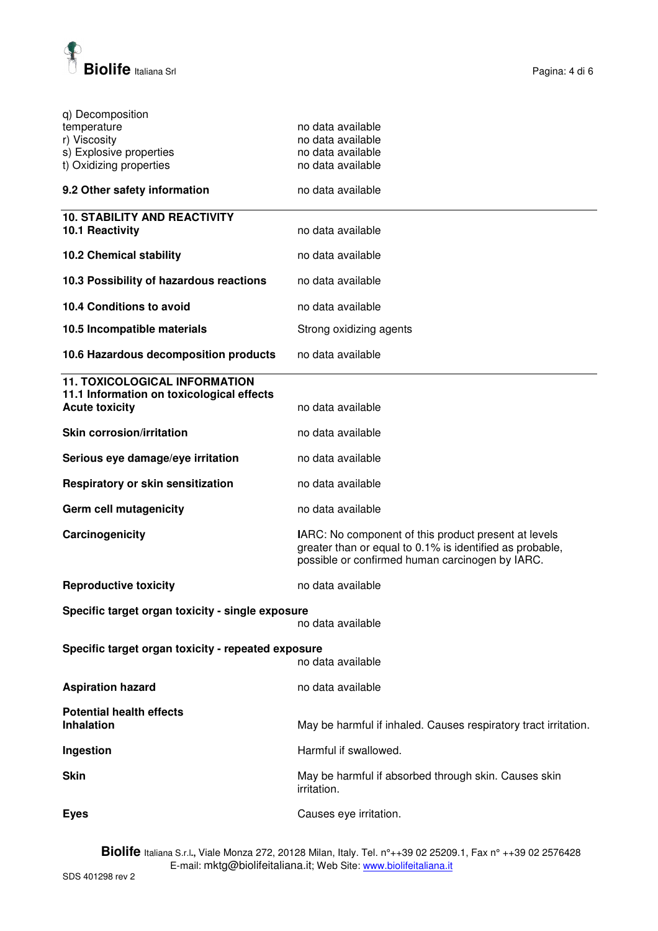

| q) Decomposition                                                        |                                                                                                                                                                     |  |
|-------------------------------------------------------------------------|---------------------------------------------------------------------------------------------------------------------------------------------------------------------|--|
| temperature                                                             | no data available                                                                                                                                                   |  |
| r) Viscosity                                                            | no data available                                                                                                                                                   |  |
| s) Explosive properties                                                 | no data available                                                                                                                                                   |  |
| t) Oxidizing properties                                                 | no data available                                                                                                                                                   |  |
| 9.2 Other safety information                                            | no data available                                                                                                                                                   |  |
| <b>10. STABILITY AND REACTIVITY</b>                                     |                                                                                                                                                                     |  |
| 10.1 Reactivity                                                         | no data available                                                                                                                                                   |  |
| <b>10.2 Chemical stability</b>                                          | no data available                                                                                                                                                   |  |
| 10.3 Possibility of hazardous reactions                                 | no data available                                                                                                                                                   |  |
| 10.4 Conditions to avoid                                                | no data available                                                                                                                                                   |  |
| 10.5 Incompatible materials                                             | Strong oxidizing agents                                                                                                                                             |  |
| 10.6 Hazardous decomposition products                                   | no data available                                                                                                                                                   |  |
| <b>11. TOXICOLOGICAL INFORMATION</b>                                    |                                                                                                                                                                     |  |
| 11.1 Information on toxicological effects                               |                                                                                                                                                                     |  |
| <b>Acute toxicity</b>                                                   | no data available                                                                                                                                                   |  |
| <b>Skin corrosion/irritation</b>                                        | no data available                                                                                                                                                   |  |
| Serious eye damage/eye irritation                                       | no data available                                                                                                                                                   |  |
| Respiratory or skin sensitization                                       | no data available                                                                                                                                                   |  |
| <b>Germ cell mutagenicity</b>                                           | no data available                                                                                                                                                   |  |
| Carcinogenicity                                                         | IARC: No component of this product present at levels<br>greater than or equal to 0.1% is identified as probable,<br>possible or confirmed human carcinogen by IARC. |  |
| <b>Reproductive toxicity</b>                                            | no data available                                                                                                                                                   |  |
| Specific target organ toxicity - single exposure                        | no data available                                                                                                                                                   |  |
| Specific target organ toxicity - repeated exposure<br>no data available |                                                                                                                                                                     |  |
|                                                                         |                                                                                                                                                                     |  |
| <b>Aspiration hazard</b>                                                | no data available                                                                                                                                                   |  |
| <b>Potential health effects</b><br><b>Inhalation</b>                    | May be harmful if inhaled. Causes respiratory tract irritation.                                                                                                     |  |
| Ingestion                                                               | Harmful if swallowed.                                                                                                                                               |  |
| <b>Skin</b>                                                             | May be harmful if absorbed through skin. Causes skin<br>irritation.                                                                                                 |  |
| <b>Eyes</b>                                                             | Causes eye irritation.                                                                                                                                              |  |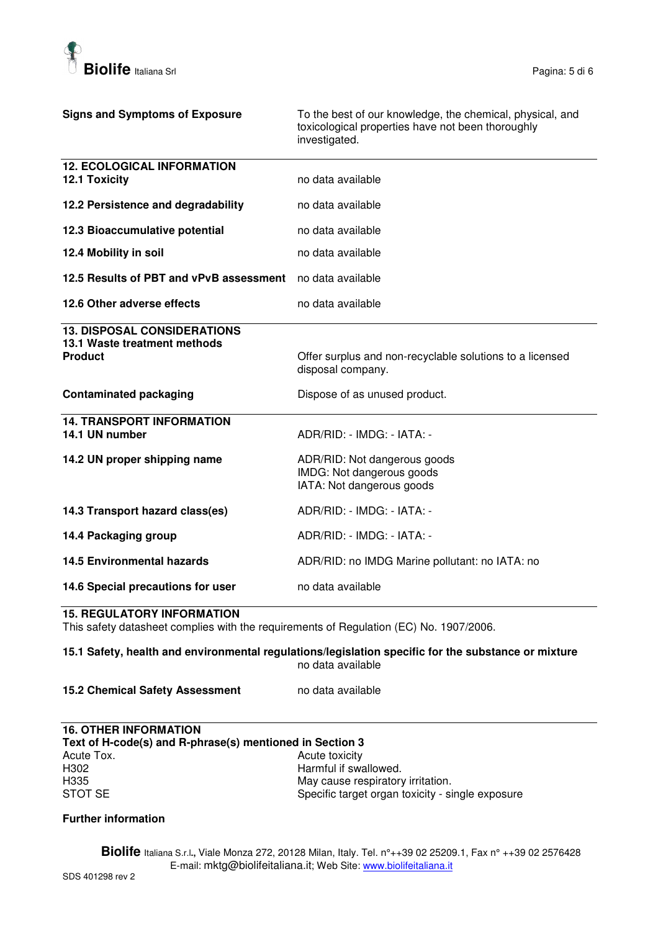

| <b>Signs and Symptoms of Exposure</b>                                                                                       | To the best of our knowledge, the chemical, physical, and<br>toxicological properties have not been thoroughly<br>investigated. |  |  |
|-----------------------------------------------------------------------------------------------------------------------------|---------------------------------------------------------------------------------------------------------------------------------|--|--|
| <b>12. ECOLOGICAL INFORMATION</b><br>12.1 Toxicity                                                                          | no data available                                                                                                               |  |  |
| 12.2 Persistence and degradability                                                                                          | no data available                                                                                                               |  |  |
| 12.3 Bioaccumulative potential                                                                                              | no data available                                                                                                               |  |  |
| 12.4 Mobility in soil                                                                                                       | no data available                                                                                                               |  |  |
| 12.5 Results of PBT and vPvB assessment                                                                                     | no data available                                                                                                               |  |  |
| 12.6 Other adverse effects                                                                                                  | no data available                                                                                                               |  |  |
| <b>13. DISPOSAL CONSIDERATIONS</b><br>13.1 Waste treatment methods<br>Product                                               | Offer surplus and non-recyclable solutions to a licensed<br>disposal company.                                                   |  |  |
| <b>Contaminated packaging</b>                                                                                               | Dispose of as unused product.                                                                                                   |  |  |
| <b>14. TRANSPORT INFORMATION</b><br>14.1 UN number                                                                          | ADR/RID: - IMDG: - IATA: -                                                                                                      |  |  |
| 14.2 UN proper shipping name                                                                                                | ADR/RID: Not dangerous goods<br>IMDG: Not dangerous goods<br>IATA: Not dangerous goods                                          |  |  |
| 14.3 Transport hazard class(es)                                                                                             | ADR/RID: - IMDG: - IATA: -                                                                                                      |  |  |
| 14.4 Packaging group                                                                                                        | ADR/RID: - IMDG: - IATA: -                                                                                                      |  |  |
| <b>14.5 Environmental hazards</b>                                                                                           | ADR/RID: no IMDG Marine pollutant: no IATA: no                                                                                  |  |  |
| 14.6 Special precautions for user                                                                                           | no data available                                                                                                               |  |  |
| <b>15. REGULATORY INFORMATION</b><br>This safety datasheet complies with the requirements of Regulation (EC) No. 1907/2006. |                                                                                                                                 |  |  |

# **15.1 Safety, health and environmental regulations/legislation specific for the substance or mixture**  no data available

# **15.2 Chemical Safety Assessment** no data available

## **16. OTHER INFORMATION Text of H-code(s) and R-phrase(s) mentioned in Section 3**  Acute Tox.<br>
H302 **Acute toxicity**<br>
Harmful if swa H302 **Harmful if swallowed.**<br>H335 **H335** May cause respiratory H335 H335 May cause respiratory irritation.<br>STOT SE Specific target organ toxicity - si Specific target organ toxicity - single exposure

# **Further information**